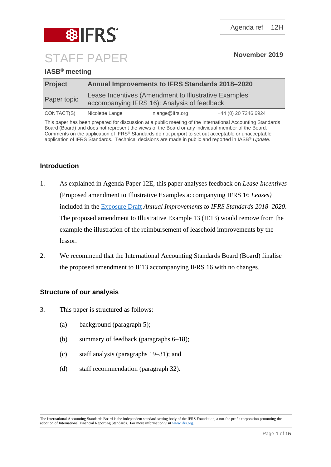

# **IASB® meeting**

| <b>Project</b> | <b>Annual Improvements to IFRS Standards 2018-2020</b>                                              |                 |                      |  |  |
|----------------|-----------------------------------------------------------------------------------------------------|-----------------|----------------------|--|--|
| Paper topic    | Lease Incentives (Amendment to Illustrative Examples<br>accompanying IFRS 16): Analysis of feedback |                 |                      |  |  |
| CONTACT(S)     | Nicolette Lange                                                                                     | nlange@ifrs.org | +44 (0) 20 7246 6924 |  |  |

This paper has been prepared for discussion at a public meeting of the International Accounting Standards Board (Board) and does not represent the views of the Board or any individual member of the Board. Comments on the application of IFRS® Standards do not purport to set out acceptable or unacceptable application of IFRS Standards. Technical decisions are made in public and reported in IASB® *Update*.

# **Introduction**

- 1. As explained in Agenda Paper 12E, this paper analyses feedback on *Lease Incentives* (Proposed amendment to Illustrative Examples accompanying IFRS 16 *Leases)* included in the [Exposure Draft](https://www.ifrs.org/-/media/project/annual-improvements-2018-2020/ed-annual-improvements-2018-2020.pdf) *Annual Improvements to IFRS Standards 2018–2020*. The proposed amendment to Illustrative Example 13 (IE13) would remove from the example the illustration of the reimbursement of leasehold improvements by the lessor.
- 2. We recommend that the International Accounting Standards Board (Board) finalise the proposed amendment to IE13 accompanying IFRS 16 with no changes.

## **Structure of our analysis**

- 3. This paper is structured as follows:
	- (a) background (paragraph [5\)](#page-1-0);
	- (b) summary of feedback (paragraphs [6–](#page-2-0)[18\)](#page-6-0);
	- (c) staff analysis (paragraphs [19](#page-6-1)[–31\)](#page-10-0); and
	- (d) staff recommendation (paragraph [32\)](#page-10-1).

The International Accounting Standards Board is the independent standard-setting body of the IFRS Foundation, a not-for-profit corporation promoting the adoption of International Financial Reporting Standards. For more information visit www.ifrs.org.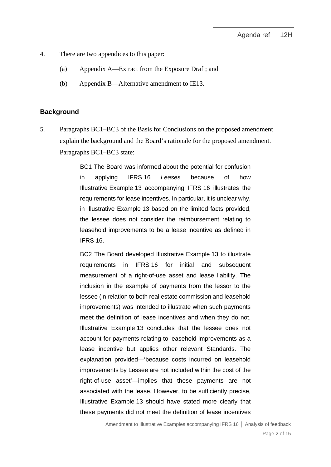- 4. There are two appendices to this paper:
	- (a) Appendix A—Extract from the Exposure Draft; and
	- (b) Appendix B—Alternative amendment to IE13.

#### **Background**

<span id="page-1-0"></span>5. Paragraphs BC1–BC3 of the Basis for Conclusions on the proposed amendment explain the background and the Board's rationale for the proposed amendment. Paragraphs BC1–BC3 state:

> BC1 The Board was informed about the potential for confusion in applying IFRS 16 *Leases* because of how Illustrative Example 13 accompanying IFRS 16 illustrates the requirements for lease incentives. In particular, it is unclear why, in Illustrative Example 13 based on the limited facts provided, the lessee does not consider the reimbursement relating to leasehold improvements to be a lease incentive as defined in IFRS 16.

> BC2 The Board developed Illustrative Example 13 to illustrate requirements in IFRS 16 for initial and subsequent measurement of a right-of-use asset and lease liability. The inclusion in the example of payments from the lessor to the lessee (in relation to both real estate commission and leasehold improvements) was intended to illustrate when such payments meet the definition of lease incentives and when they do not. Illustrative Example 13 concludes that the lessee does not account for payments relating to leasehold improvements as a lease incentive but applies other relevant Standards. The explanation provided—'because costs incurred on leasehold improvements by Lessee are not included within the cost of the right-of-use asset'—implies that these payments are not associated with the lease. However, to be sufficiently precise, Illustrative Example 13 should have stated more clearly that these payments did not meet the definition of lease incentives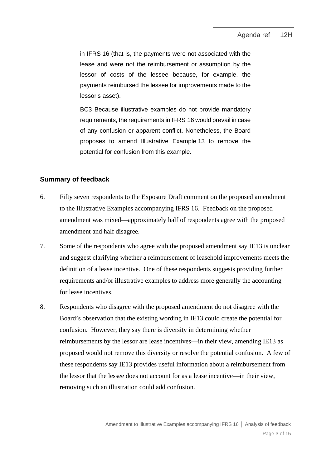in IFRS 16 (that is, the payments were not associated with the lease and were not the reimbursement or assumption by the lessor of costs of the lessee because, for example, the payments reimbursed the lessee for improvements made to the lessor's asset).

BC3 Because illustrative examples do not provide mandatory requirements, the requirements in IFRS 16 would prevail in case of any confusion or apparent conflict. Nonetheless, the Board proposes to amend Illustrative Example 13 to remove the potential for confusion from this example.

## **Summary of feedback**

- <span id="page-2-0"></span>6. Fifty seven respondents to the Exposure Draft comment on the proposed amendment to the Illustrative Examples accompanying IFRS 16. Feedback on the proposed amendment was mixed—approximately half of respondents agree with the proposed amendment and half disagree.
- 7. Some of the respondents who agree with the proposed amendment say IE13 is unclear and suggest clarifying whether a reimbursement of leasehold improvements meets the definition of a lease incentive. One of these respondents suggests providing further requirements and/or illustrative examples to address more generally the accounting for lease incentives.
- 8. Respondents who disagree with the proposed amendment do not disagree with the Board's observation that the existing wording in IE13 could create the potential for confusion. However, they say there is diversity in determining whether reimbursements by the lessor are lease incentives—in their view, amending IE13 as proposed would not remove this diversity or resolve the potential confusion. A few of these respondents say IE13 provides useful information about a reimbursement from the lessor that the lessee does not account for as a lease incentive—in their view, removing such an illustration could add confusion.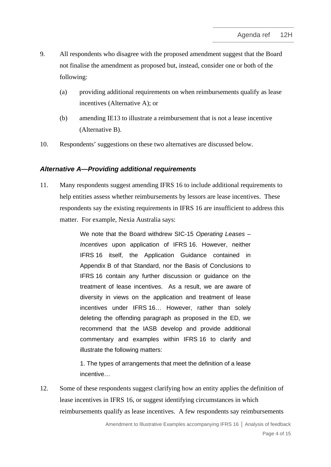- 9. All respondents who disagree with the proposed amendment suggest that the Board not finalise the amendment as proposed but, instead, consider one or both of the following:
	- (a) providing additional requirements on when reimbursements qualify as lease incentives (Alternative A); or
	- (b) amending IE13 to illustrate a reimbursement that is not a lease incentive (Alternative B).
- 10. Respondents' suggestions on these two alternatives are discussed below.

### *Alternative A—Providing additional requirements*

11. Many respondents suggest amending IFRS 16 to include additional requirements to help entities assess whether reimbursements by lessors are lease incentives. These respondents say the existing requirements in IFRS 16 are insufficient to address this matter. For example, Nexia Australia says:

> We note that the Board withdrew SIC-15 *Operating Leases – Incentives* upon application of IFRS 16. However, neither IFRS 16 itself, the Application Guidance contained in Appendix B of that Standard, nor the Basis of Conclusions to IFRS 16 contain any further discussion or guidance on the treatment of lease incentives. As a result, we are aware of diversity in views on the application and treatment of lease incentives under IFRS 16… However, rather than solely deleting the offending paragraph as proposed in the ED, we recommend that the IASB develop and provide additional commentary and examples within IFRS 16 to clarify and illustrate the following matters:

> 1. The types of arrangements that meet the definition of a lease incentive…

<span id="page-3-0"></span>12. Some of these respondents suggest clarifying how an entity applies the definition of lease incentives in IFRS 16, or suggest identifying circumstances in which reimbursements qualify as lease incentives. A few respondents say reimbursements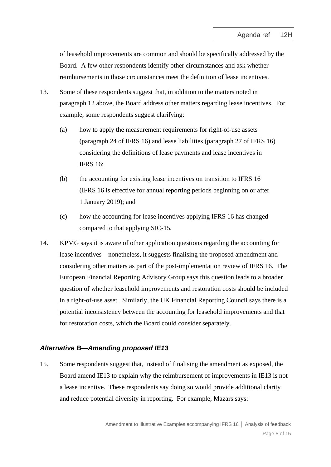of leasehold improvements are common and should be specifically addressed by the Board. A few other respondents identify other circumstances and ask whether reimbursements in those circumstances meet the definition of lease incentives.

- 13. Some of these respondents suggest that, in addition to the matters noted in paragraph [12](#page-3-0) above, the Board address other matters regarding lease incentives. For example, some respondents suggest clarifying:
	- (a) how to apply the measurement requirements for right-of-use assets (paragraph 24 of IFRS 16) and lease liabilities (paragraph 27 of IFRS 16) considering the definitions of lease payments and lease incentives in IFRS 16;
	- (b) the accounting for existing lease incentives on transition to IFRS 16 (IFRS 16 is effective for annual reporting periods beginning on or after 1 January 2019); and
	- (c) how the accounting for lease incentives applying IFRS 16 has changed compared to that applying SIC-15*.*
- 14. KPMG says it is aware of other application questions regarding the accounting for lease incentives—nonetheless, it suggests finalising the proposed amendment and considering other matters as part of the post-implementation review of IFRS 16. The European Financial Reporting Advisory Group says this question leads to a broader question of whether leasehold improvements and restoration costs should be included in a right-of-use asset. Similarly, the UK Financial Reporting Council says there is a potential inconsistency between the accounting for leasehold improvements and that for restoration costs, which the Board could consider separately.

### *Alternative B—Amending proposed IE13*

<span id="page-4-0"></span>15. Some respondents suggest that, instead of finalising the amendment as exposed, the Board amend IE13 to explain why the reimbursement of improvements in IE13 is not a lease incentive. These respondents say doing so would provide additional clarity and reduce potential diversity in reporting. For example, Mazars says: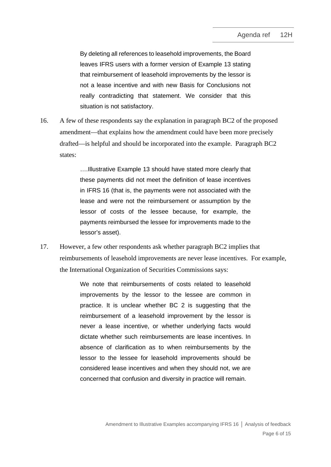By deleting all references to leasehold improvements, the Board leaves IFRS users with a former version of Example 13 stating that reimbursement of leasehold improvements by the lessor is not a lease incentive and with new Basis for Conclusions not really contradicting that statement. We consider that this situation is not satisfactory.

<span id="page-5-0"></span>16. A few of these respondents say the explanation in paragraph BC2 of the proposed amendment—that explains how the amendment could have been more precisely drafted—is helpful and should be incorporated into the example. Paragraph BC2 states:

> ….Illustrative Example 13 should have stated more clearly that these payments did not meet the definition of lease incentives in IFRS 16 (that is, the payments were not associated with the lease and were not the reimbursement or assumption by the lessor of costs of the lessee because, for example, the payments reimbursed the lessee for improvements made to the lessor's asset).

17. However, a few other respondents ask whether paragraph BC2 implies that reimbursements of leasehold improvements are never lease incentives. For example, the International Organization of Securities Commissions says:

> We note that reimbursements of costs related to leasehold improvements by the lessor to the lessee are common in practice. It is unclear whether BC 2 is suggesting that the reimbursement of a leasehold improvement by the lessor is never a lease incentive, or whether underlying facts would dictate whether such reimbursements are lease incentives. In absence of clarification as to when reimbursements by the lessor to the lessee for leasehold improvements should be considered lease incentives and when they should not, we are concerned that confusion and diversity in practice will remain.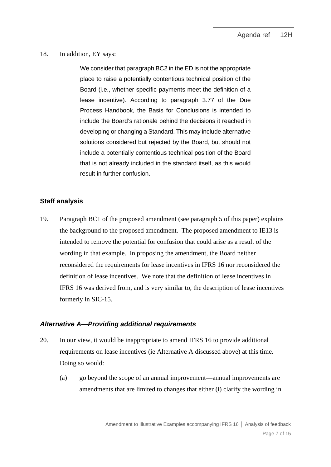#### <span id="page-6-0"></span>18. In addition, EY says:

We consider that paragraph BC2 in the ED is not the appropriate place to raise a potentially contentious technical position of the Board (i.e., whether specific payments meet the definition of a lease incentive). According to paragraph 3.77 of the Due Process Handbook, the Basis for Conclusions is intended to include the Board's rationale behind the decisions it reached in developing or changing a Standard. This may include alternative solutions considered but rejected by the Board, but should not include a potentially contentious technical position of the Board that is not already included in the standard itself, as this would result in further confusion.

## **Staff analysis**

<span id="page-6-1"></span>19. Paragraph BC1 of the proposed amendment (see paragraph [5](#page-1-0) of this paper) explains the background to the proposed amendment. The proposed amendment to IE13 is intended to remove the potential for confusion that could arise as a result of the wording in that example. In proposing the amendment, the Board neither reconsidered the requirements for lease incentives in IFRS 16 nor reconsidered the definition of lease incentives. We note that the definition of lease incentives in IFRS 16 was derived from, and is very similar to, the description of lease incentives formerly in SIC-15.

### *Alternative A—Providing additional requirements*

- 20. In our view, it would be inappropriate to amend IFRS 16 to provide additional requirements on lease incentives (ie Alternative A discussed above) at this time. Doing so would:
	- (a) go beyond the scope of an annual improvement—annual improvements are amendments that are limited to changes that either (i) clarify the wording in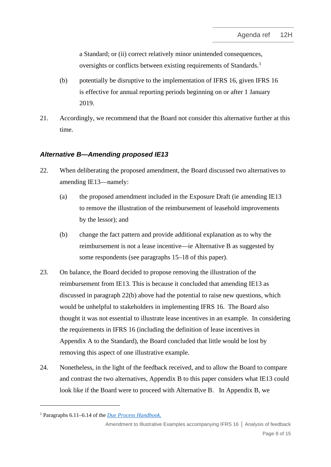a Standard; or (ii) correct relatively minor unintended consequences, oversights or conflicts between existing requirements of Standards.<sup>[1](#page-7-2)</sup>

- (b) potentially be disruptive to the implementation of IFRS 16, given IFRS 16 is effective for annual reporting periods beginning on or after 1 January 2019.
- 21. Accordingly, we recommend that the Board not consider this alternative further at this time.

# *Alternative B—Amending proposed IE13*

- <span id="page-7-0"></span>22. When deliberating the proposed amendment, the Board discussed two alternatives to amending IE13—namely:
	- (a) the proposed amendment included in the Exposure Draft (ie amending IE13 to remove the illustration of the reimbursement of leasehold improvements by the lessor); and
	- (b) change the fact pattern and provide additional explanation as to why the reimbursement is not a lease incentive—ie Alternative B as suggested by some respondents (see paragraphs [15–](#page-4-0)[18](#page-6-0) of this paper).
- <span id="page-7-3"></span><span id="page-7-1"></span>23. On balance, the Board decided to propose removing the illustration of the reimbursement from IE13. This is because it concluded that amending IE13 as discussed in paragraph [22](#page-7-0)[\(b\)](#page-7-1) above had the potential to raise new questions, which would be unhelpful to stakeholders in implementing IFRS 16. The Board also thought it was not essential to illustrate lease incentives in an example. In considering the requirements in IFRS 16 (including the definition of lease incentives in Appendix A to the Standard), the Board concluded that little would be lost by removing this aspect of one illustrative example.
- <span id="page-7-4"></span>24. Nonetheless, in the light of the feedback received, and to allow the Board to compare and contrast the two alternatives, Appendix B to this paper considers what IE13 could look like if the Board were to proceed with Alternative B. In Appendix B, we

<span id="page-7-2"></span><sup>1</sup> Paragraphs 6.11–6.14 of the *[Due Process Handbook.](https://www.ifrs.org/-/media/feature/about-us/legal-and-governance/constitution-docs/due-process-handbook.pdf?la=en)* 

Amendment to Illustrative Examples accompanying IFRS 16 **│** Analysis of feedback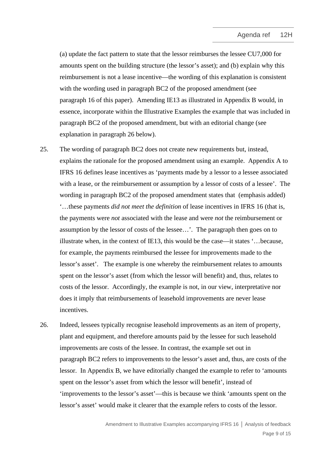(a) update the fact pattern to state that the lessor reimburses the lessee CU7,000 for amounts spent on the building structure (the lessor's asset); and (b) explain why this reimbursement is not a lease incentive—the wording of this explanation is consistent with the wording used in paragraph BC2 of the proposed amendment (see paragraph [16](#page-5-0) of this paper). Amending IE13 as illustrated in Appendix B would, in essence, incorporate within the Illustrative Examples the example that was included in paragraph BC2 of the proposed amendment, but with an editorial change (see explanation in paragraph [26](#page-8-0) below).

- 25. The wording of paragraph BC2 does not create new requirements but, instead, explains the rationale for the proposed amendment using an example. Appendix A to IFRS 16 defines lease incentives as 'payments made by a lessor to a lessee associated with a lease, or the reimbursement or assumption by a lessor of costs of a lessee'. The wording in paragraph BC2 of the proposed amendment states that (emphasis added) '…these payments *did not meet the definition* of lease incentives in IFRS 16 (that is, the payments were *not* associated with the lease and were *not* the reimbursement or assumption by the lessor of costs of the lessee…'. The paragraph then goes on to illustrate when, in the context of IE13, this would be the case—it states '…because, for example, the payments reimbursed the lessee for improvements made to the lessor's asset'. The example is one whereby the reimbursement relates to amounts spent on the lessor's asset (from which the lessor will benefit) and, thus, relates to costs of the lessor. Accordingly, the example is not, in our view, interpretative nor does it imply that reimbursements of leasehold improvements are never lease incentives.
- <span id="page-8-0"></span>26. Indeed, lessees typically recognise leasehold improvements as an item of property, plant and equipment, and therefore amounts paid by the lessee for such leasehold improvements are costs of the lessee. In contrast, the example set out in paragraph BC2 refers to improvements to the lessor's asset and, thus, are costs of the lessor. In Appendix B, we have editorially changed the example to refer to 'amounts spent on the lessor's asset from which the lessor will benefit', instead of 'improvements to the lessor's asset'—this is because we think 'amounts spent on the lessor's asset' would make it clearer that the example refers to costs of the lessor.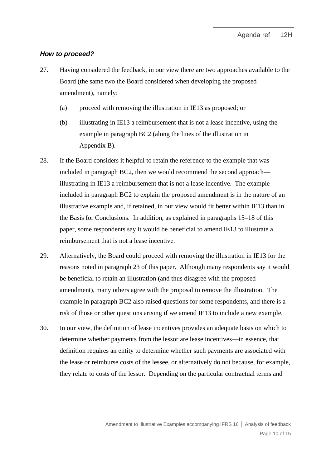#### *How to proceed?*

- 27. Having considered the feedback, in our view there are two approaches available to the Board (the same two the Board considered when developing the proposed amendment), namely:
	- (a) proceed with removing the illustration in IE13 as proposed; or
	- (b) illustrating in IE13 a reimbursement that is not a lease incentive, using the example in paragraph BC2 (along the lines of the illustration in Appendix B).
- 28. If the Board considers it helpful to retain the reference to the example that was included in paragraph BC2, then we would recommend the second approach illustrating in IE13 a reimbursement that is not a lease incentive. The example included in paragraph BC2 to explain the proposed amendment is in the nature of an illustrative example and, if retained, in our view would fit better within IE13 than in the Basis for Conclusions. In addition, as explained in paragraphs [15–](#page-4-0)[18](#page-6-0) of this paper, some respondents say it would be beneficial to amend IE13 to illustrate a reimbursement that is not a lease incentive.
- 29. Alternatively, the Board could proceed with removing the illustration in IE13 for the reasons noted in paragraph [23](#page-7-3) of this paper. Although many respondents say it would be beneficial to retain an illustration (and thus disagree with the proposed amendment), many others agree with the proposal to remove the illustration. The example in paragraph BC2 also raised questions for some respondents, and there is a risk of those or other questions arising if we amend IE13 to include a new example.
- 30. In our view, the definition of lease incentives provides an adequate basis on which to determine whether payments from the lessor are lease incentives—in essence, that definition requires an entity to determine whether such payments are associated with the lease or reimburse costs of the lessee, or alternatively do not because, for example, they relate to costs of the lessor. Depending on the particular contractual terms and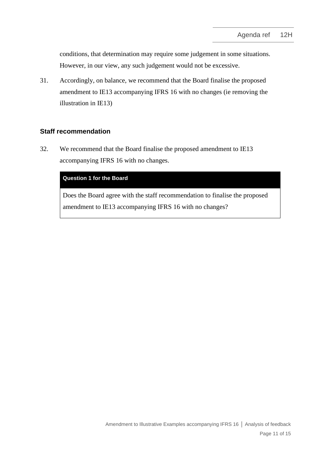conditions, that determination may require some judgement in some situations. However, in our view, any such judgement would not be excessive.

<span id="page-10-0"></span>31. Accordingly, on balance, we recommend that the Board finalise the proposed amendment to IE13 accompanying IFRS 16 with no changes (ie removing the illustration in IE13)

## **Staff recommendation**

<span id="page-10-1"></span>32. We recommend that the Board finalise the proposed amendment to IE13 accompanying IFRS 16 with no changes.

#### **Question 1 for the Board**

Does the Board agree with the staff recommendation to finalise the proposed amendment to IE13 accompanying IFRS 16 with no changes?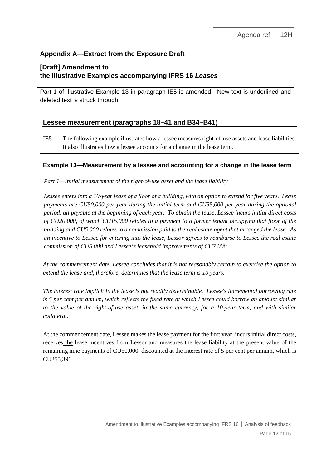# **Appendix A—Extract from the Exposure Draft**

# **[Draft] Amendment to the Illustrative Examples accompanying IFRS 16** *Leases*

Part 1 of Illustrative Example 13 in paragraph IE5 is amended. New text is underlined and deleted text is struck through.

## **Lessee measurement (paragraphs 18–41 and B34–B41)**

IE5 The following example illustrates how a lessee measures right-of-use assets and lease liabilities. It also illustrates how a lessee accounts for a change in the lease term.

### **Example 13—Measurement by a lessee and accounting for a change in the lease term**

*Part 1—Initial measurement of the right-of-use asset and the lease liability*

*Lessee enters into a 10-year lease of a floor of a building, with an option to extend for five years. Lease payments are CU50,000 per year during the initial term and CU55,000 per year during the optional period, all payable at the beginning of each year. To obtain the lease, Lessee incurs initial direct costs of CU20,000, of which CU15,000 relates to a payment to a former tenant occupying that floor of the building and CU5,000 relates to a commission paid to the real estate agent that arranged the lease. As an incentive to Lessee for entering into the lease, Lessor agrees to reimburse to Lessee the real estate commission of CU5,000 and Lessee's leasehold improvements of CU7,000.*

*At the commencement date, Lessee concludes that it is not reasonably certain to exercise the option to extend the lease and, therefore, determines that the lease term is 10 years.*

*The interest rate implicit in the lease is not readily determinable. Lessee's incremental borrowing rate is 5 per cent per annum, which reflects the fixed rate at which Lessee could borrow an amount similar to the value of the right-of-use asset, in the same currency, for a 10-year term, and with similar collateral.*

At the commencement date, Lessee makes the lease payment for the first year, incurs initial direct costs, receives the lease incentives from Lessor and measures the lease liability at the present value of the remaining nine payments of CU50,000, discounted at the interest rate of 5 per cent per annum, which is CU355,391.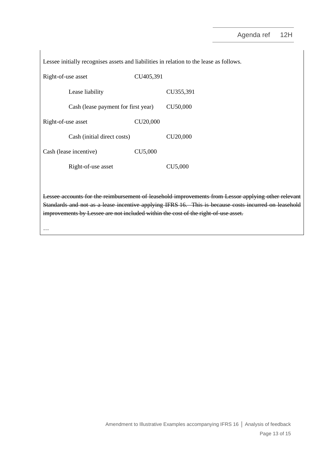Lessee initially recognises assets and liabilities in relation to the lease as follows.

| Right-of-use asset |                                     | CU405,391            |                      |
|--------------------|-------------------------------------|----------------------|----------------------|
|                    | Lease liability                     |                      | CU355,391            |
|                    | Cash (lease payment for first year) |                      |                      |
| Right-of-use asset |                                     | CU <sub>20,000</sub> |                      |
|                    | Cash (initial direct costs)         |                      | CU <sub>20,000</sub> |
|                    | Cash (lease incentive)              | CU5,000              |                      |
|                    | Right-of-use asset                  |                      | CU5,000              |

Lessee accounts for the reimbursement of leasehold improvements from Lessor applying other relevant Standards and not as a lease incentive applying IFRS 16. This is because costs incurred on leasehold improvements by Lessee are not included within the cost of the right-of-use asset.

…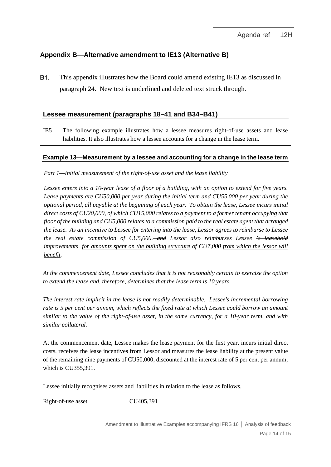# **Appendix B—Alternative amendment to IE13 (Alternative B)**

**B1.** This appendix illustrates how the Board could amend existing IE13 as discussed in paragraph [24.](#page-7-4) New text is underlined and deleted text struck through.

## **Lessee measurement (paragraphs 18–41 and B34–B41)**

IE5 The following example illustrates how a lessee measures right-of-use assets and lease liabilities. It also illustrates how a lessee accounts for a change in the lease term.

## **Example 13—Measurement by a lessee and accounting for a change in the lease term**

*Part 1—Initial measurement of the right-of-use asset and the lease liability*

*Lessee enters into a 10-year lease of a floor of a building, with an option to extend for five years. Lease payments are CU50,000 per year during the initial term and CU55,000 per year during the optional period, all payable at the beginning of each year. To obtain the lease, Lessee incurs initial direct costs of CU20,000, of which CU15,000 relates to a payment to a former tenant occupying that floor of the building and CU5,000 relates to a commission paid to the real estate agent that arranged the lease. As an incentive to Lessee for entering into the lease, Lessor agrees to reimburse to Lessee the real estate commission of CU5,000. and Lessor also reimburses Lessee 's leasehold improvements for amounts spent on the building structure of CU7,000 from which the lessor will benefit.*

*At the commencement date, Lessee concludes that it is not reasonably certain to exercise the option to extend the lease and, therefore, determines that the lease term is 10 years.*

*The interest rate implicit in the lease is not readily determinable. Lessee's incremental borrowing rate is 5 per cent per annum, which reflects the fixed rate at which Lessee could borrow an amount similar to the value of the right-of-use asset, in the same currency, for a 10-year term, and with similar collateral.*

At the commencement date, Lessee makes the lease payment for the first year, incurs initial direct costs, receives the lease incentives from Lessor and measures the lease liability at the present value of the remaining nine payments of CU50,000, discounted at the interest rate of 5 per cent per annum, which is CU355,391.

Lessee initially recognises assets and liabilities in relation to the lease as follows.

Right-of-use asset CU405,391